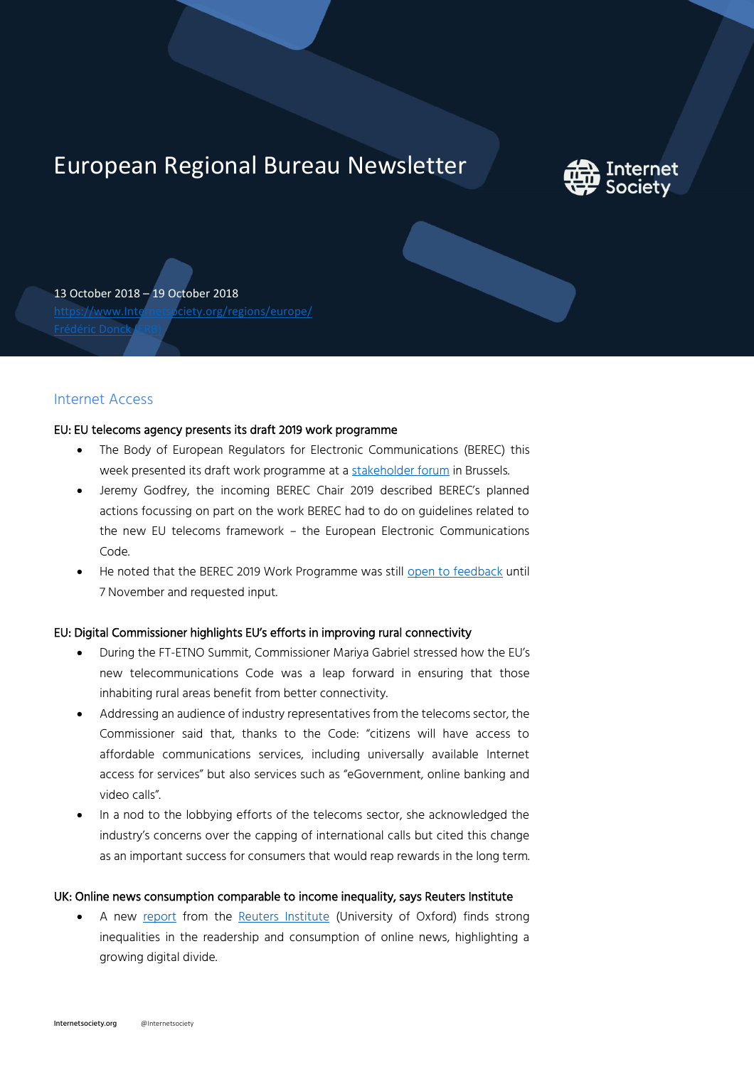# European Regional Bureau Newsletter



13 October 2018 – 19 October 2018 [https://www.Internetsociety.org/regions/europe/](https://www.internetsociety.org/regions/europe/) Frédéric Doncl

# Internet Access

## EU: EU telecoms agency presents its draft 2019 work programme

- The Body of European Regulators for Electronic Communications (BEREC) this week presented its draft work programme at [a stakeholder forum](https://berec.europa.eu/eng/document_register/subject_matter/berec/press_releases/8265-press-release-6th-berec-stakeholder-forum-towards-the-next-decade) in Brussels.
- Jeremy Godfrey, the incoming BEREC Chair 2019 described BEREC's planned actions focussing on part on the work BEREC had to do on guidelines related to the new EU telecoms framework – the European Electronic Communications Code.
- He noted that the BEREC 2019 Work Programme was still [open to feedback](https://berec.europa.eu/eng/news_consultations/ongoing_public_consultations/5140-public-consultation-on-draft-berec-wp-2019) until 7 November and requested input.

# EU: Digital Commissioner highlights EU's efforts in improving rural connectivity

- During the FT-ETNO Summit, Commissioner Mariya Gabriel stressed how the EU's new telecommunications Code was a leap forward in ensuring that those inhabiting rural areas benefit from better connectivity.
- Addressing an audience of industry representatives from the telecoms sector, the Commissioner said that, thanks to the Code: "citizens will have access to affordable communications services, including universally available Internet access for services" but also services such as "eGovernment, online banking and video calls".
- In a nod to the lobbying efforts of the telecoms sector, she acknowledged the industry's concerns over the capping of international calls but cited this change as an important success for consumers that would reap rewards in the long term.

## UK: Online news consumption comparable to income inequality, says Reuters Institute

• A new [report](https://reutersinstitute.politics.ox.ac.uk/sites/default/files/2018-10/Kalogeropolous%20-%20Social%20Inequality%20in%20News%20FINAL.pdf) from the [Reuters Institute](https://reutersinstitute.politics.ox.ac.uk/our-research/social-inequalities-news-consumption) (University of Oxford) finds strong inequalities in the readership and consumption of online news, highlighting a growing digital divide.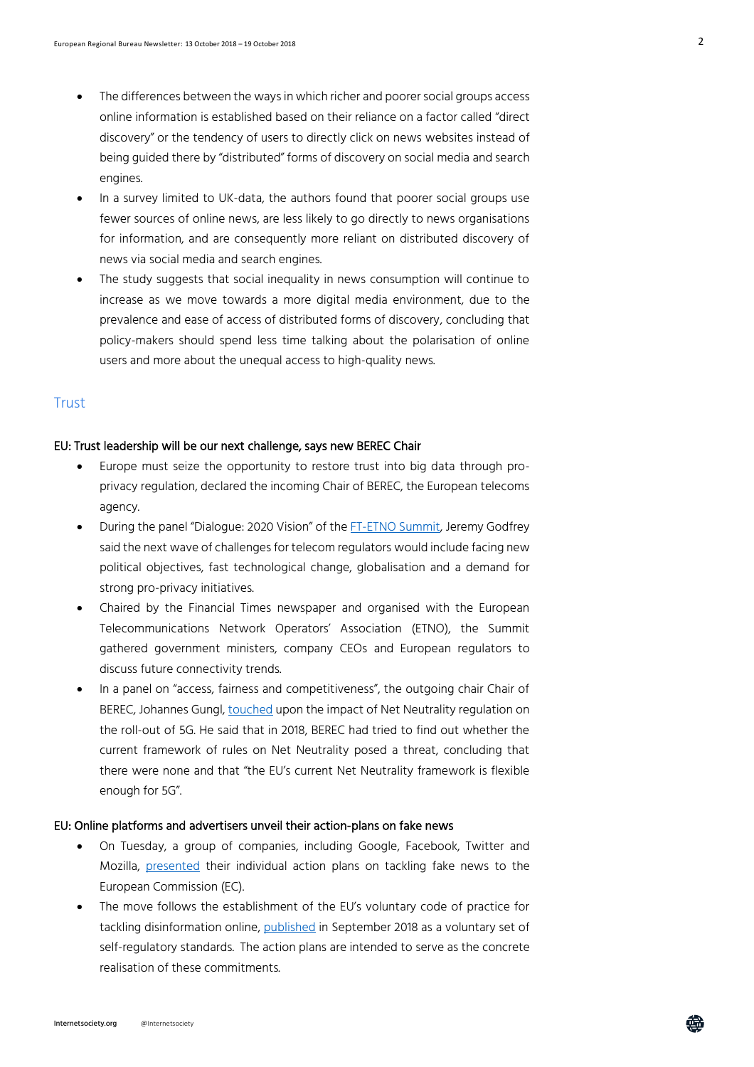- The differences between the ways in which richer and poorer social groups access online information is established based on their reliance on a factor called "direct discovery" or the tendency of users to directly click on news websites instead of being guided there by "distributed" forms of discovery on social media and search engines.
- In a survey limited to UK-data, the authors found that poorer social groups use fewer sources of online news, are less likely to go directly to news organisations for information, and are consequently more reliant on distributed discovery of news via social media and search engines.
- The study suggests that social inequality in news consumption will continue to increase as we move towards a more digital media environment, due to the prevalence and ease of access of distributed forms of discovery, concluding that policy-makers should spend less time talking about the polarisation of online users and more about the unequal access to high-quality news.

# **Trust**

#### EU: Trust leadership will be our next challenge, says new BEREC Chair

- Europe must seize the opportunity to restore trust into big data through proprivacy regulation, declared the incoming Chair of BEREC, the European telecoms agency.
- During the panel "Dialogue: 2020 Vision" of the [FT-ETNO Summit,](https://live.ft.com/Events/2018/FT-ETNO-Summit-2018) Jeremy Godfrey said the next wave of challenges for telecom regulators would include facing new political objectives, fast technological change, globalisation and a demand for strong pro-privacy initiatives.
- Chaired by the Financial Times newspaper and organised with the European Telecommunications Network Operators' Association (ETNO), the Summit gathered government ministers, company CEOs and European regulators to discuss future connectivity trends.
- In a panel on "access, fairness and competitiveness", the outgoing chair Chair of BEREC, Johannes Gungl, [touched](https://berec.europa.eu/eng/news_and_publications/whats_new/5168-current-nn-framework-is-flexible-enough-for-5g-berec-chair-at-the-ft-etno-summit-2018) upon the impact of Net Neutrality regulation on the roll-out of 5G. He said that in 2018, BEREC had tried to find out whether the current framework of rules on Net Neutrality posed a threat, concluding that there were none and that "the EU's current Net Neutrality framework is flexible enough for 5G".

## EU: Online platforms and advertisers unveil their action-plans on fake news

- On Tuesday, a group of companies, including Google, Facebook, Twitter and Mozilla, [presented](https://ec.europa.eu/digital-single-market/en/news/roadmaps-implement-code-practice-disinformation) their individual action plans on tackling fake news to the European Commission (EC).
- The move follows the establishment of the EU's voluntary code of practice for tackling disinformation online, [published](https://ec.europa.eu/digital-single-market/en/news/code-practice-disinformation) in September 2018 as a voluntary set of self-regulatory standards. The action plans are intended to serve as the concrete realisation of these commitments.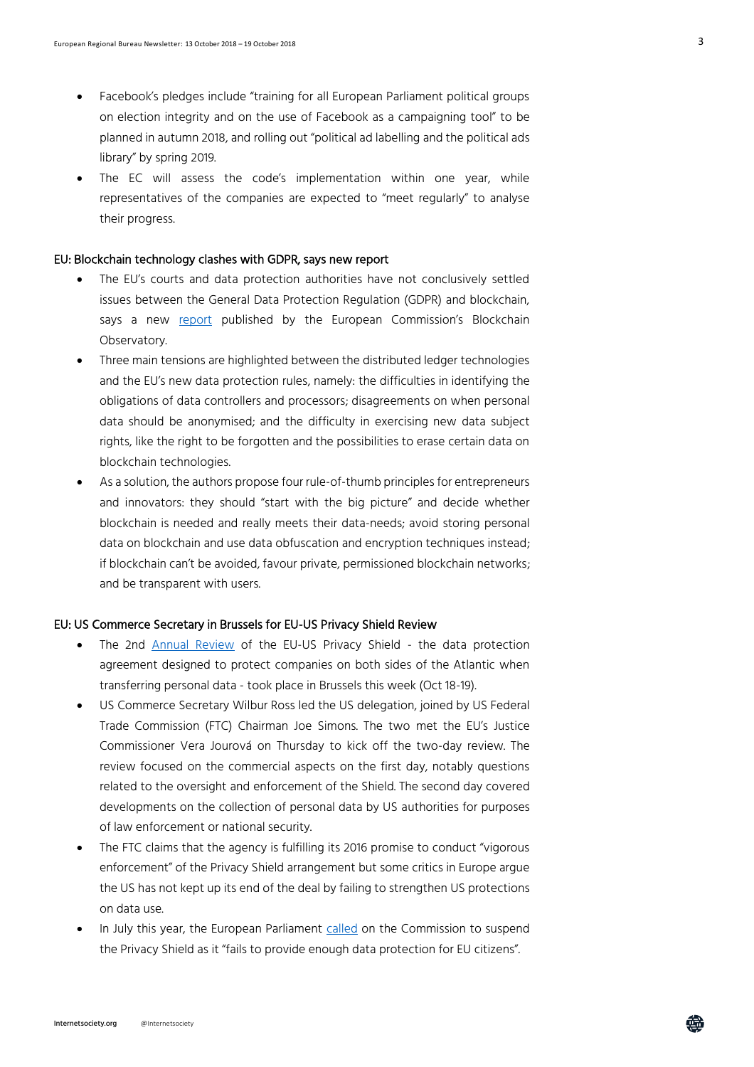- Facebook's pledges include "training for all European Parliament political groups on election integrity and on the use of Facebook as a campaigning tool" to be planned in autumn 2018, and rolling out "political ad labelling and the political ads library" by spring 2019.
- The EC will assess the code's implementation within one year, while representatives of the companies are expected to "meet regularly" to analyse their progress.

## EU: Blockchain technology clashes with GDPR, says new report

- The EU's courts and data protection authorities have not conclusively settled issues between the General Data Protection Regulation (GDPR) and blockchain, says a new [report](https://www.eublockchainforum.eu/sites/default/files/reports/20181016_report_gdpr.pdf) published by the European Commission's Blockchain Observatory.
- Three main tensions are highlighted between the distributed ledger technologies and the EU's new data protection rules, namely: the difficulties in identifying the obligations of data controllers and processors; disagreements on when personal data should be anonymised; and the difficulty in exercising new data subject rights, like the right to be forgotten and the possibilities to erase certain data on blockchain technologies.
- As a solution, the authors propose four rule-of-thumb principles for entrepreneurs and innovators: they should "start with the big picture" and decide whether blockchain is needed and really meets their data-needs; avoid storing personal data on blockchain and use data obfuscation and encryption techniques instead; if blockchain can't be avoided, favour private, permissioned blockchain networks; and be transparent with users.

#### EU: US Commerce Secretary in Brussels for EU-US Privacy Shield Review

- The 2nd **[Annual Review](http://europa.eu/rapid/press-release_MEX-18-6141_en.htm)** of the EU-US Privacy Shield the data protection agreement designed to protect companies on both sides of the Atlantic when transferring personal data - took place in Brussels this week (Oct 18-19).
- US Commerce Secretary Wilbur Ross led the US delegation, joined by US Federal Trade Commission (FTC) Chairman Joe Simons. The two met the EU's Justice Commissioner Vera Jourová on Thursday to kick off the two-day review. The review focused on the commercial aspects on the first day, notably questions related to the oversight and enforcement of the Shield. The second day covered developments on the collection of personal data by US authorities for purposes of law enforcement or national security.
- The FTC claims that the agency is fulfilling its 2016 promise to conduct "vigorous enforcement" of the Privacy Shield arrangement but some critics in Europe argue the US has not kept up its end of the deal by failing to strengthen US protections on data use.
- In July this year, the European Parliament [called](http://www.europarl.europa.eu/news/en/press-room/20180628IPR06836/suspend-eu-us-data-exchange-deal-unless-us-complies-by-1-september-say-meps) on the Commission to suspend the Privacy Shield as it "fails to provide enough data protection for EU citizens".